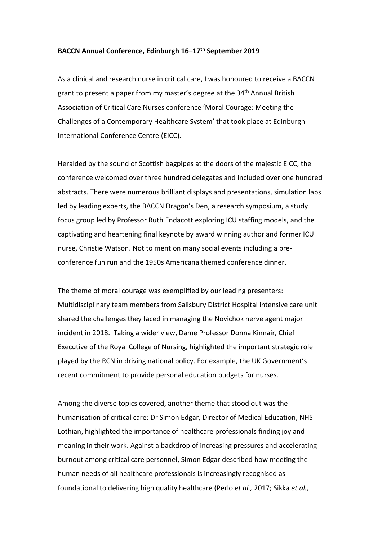## **BACCN Annual Conference, Edinburgh 16–17th September 2019**

As a clinical and research nurse in critical care, I was honoured to receive a BACCN grant to present a paper from my master's degree at the 34<sup>th</sup> Annual British Association of Critical Care Nurses conference 'Moral Courage: Meeting the Challenges of a Contemporary Healthcare System' that took place at Edinburgh International Conference Centre (EICC).

Heralded by the sound of Scottish bagpipes at the doors of the majestic EICC, the conference welcomed over three hundred delegates and included over one hundred abstracts. There were numerous brilliant displays and presentations, simulation labs led by leading experts, the BACCN Dragon's Den, a research symposium, a study focus group led by Professor Ruth Endacott exploring ICU staffing models, and the captivating and heartening final keynote by award winning author and former ICU nurse, Christie Watson. Not to mention many social events including a preconference fun run and the 1950s Americana themed conference dinner.

The theme of moral courage was exemplified by our leading presenters: Multidisciplinary team members from Salisbury District Hospital intensive care unit shared the challenges they faced in managing the Novichok nerve agent major incident in 2018. Taking a wider view, Dame Professor Donna Kinnair, Chief Executive of the Royal College of Nursing, highlighted the important strategic role played by the RCN in driving national policy. For example, the UK Government's recent commitment to provide personal education budgets for nurses.

Among the diverse topics covered, another theme that stood out was the humanisation of critical care: Dr Simon Edgar, Director of Medical Education, NHS Lothian, highlighted the importance of healthcare professionals finding joy and meaning in their work. Against a backdrop of increasing pressures and accelerating burnout among critical care personnel, Simon Edgar described how meeting the human needs of all healthcare professionals is increasingly recognised as foundational to delivering high quality healthcare (Perlo *et al.,* 2017; Sikka *et al.,*